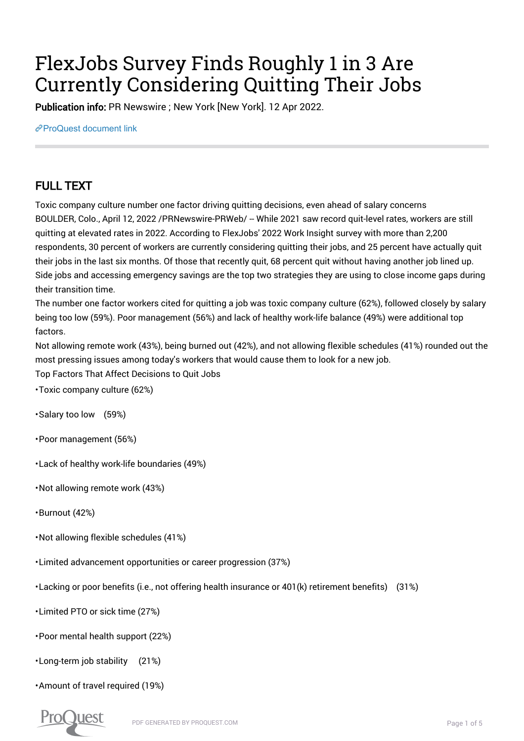# FlexJobs Survey Finds Roughly 1 in 3 Are Currently Considering Quitting Their Jobs

Publication info: PR Newswire ; New York [New York]. 12 Apr 2022.

 $e^{\phi}$ [ProQuest document link](https://www.proquest.com/wire-feeds/flexjobs-survey-finds-roughly-1-3-are-currently/docview/2649214871/se-2?accountid=44910)

## FULL TEXT

Toxic company culture number one factor driving quitting decisions, even ahead of salary concerns BOULDER, Colo., April 12, 2022 /PRNewswire-PRWeb/ -- While 2021 saw record quit-level rates, workers are still quitting at elevated rates in 2022. According to FlexJobs' 2022 Work Insight survey with more than 2,200 respondents, 30 percent of workers are currently considering quitting their jobs, and 25 percent have actually quit their jobs in the last six months. Of those that recently quit, 68 percent quit without having another job lined up. Side jobs and accessing emergency savings are the top two strategies they are using to close income gaps during their transition time.

The number one factor workers cited for quitting a job was toxic company culture (62%), followed closely by salary being too low (59%). Poor management (56%) and lack of healthy work-life balance (49%) were additional top factors.

Not allowing remote work (43%), being burned out (42%), and not allowing flexible schedules (41%) rounded out the most pressing issues among today's workers that would cause them to look for a new job.

Top Factors That Affect Decisions to Quit Jobs

- Toxic company culture (62%)
- Salary too low (59%)
- Poor management (56%)
- Lack of healthy work-life boundaries (49%)
- Not allowing remote work (43%)
- Burnout (42%)
- Not allowing flexible schedules (41%)
- Limited advancement opportunities or career progression (37%)
- Lacking or poor benefits (i.e., not offering health insurance or 401(k) retirement benefits) (31%)
- Limited PTO or sick time (27%)
- Poor mental health support (22%)
- Long-term job stability (21%)
- Amount of travel required (19%)

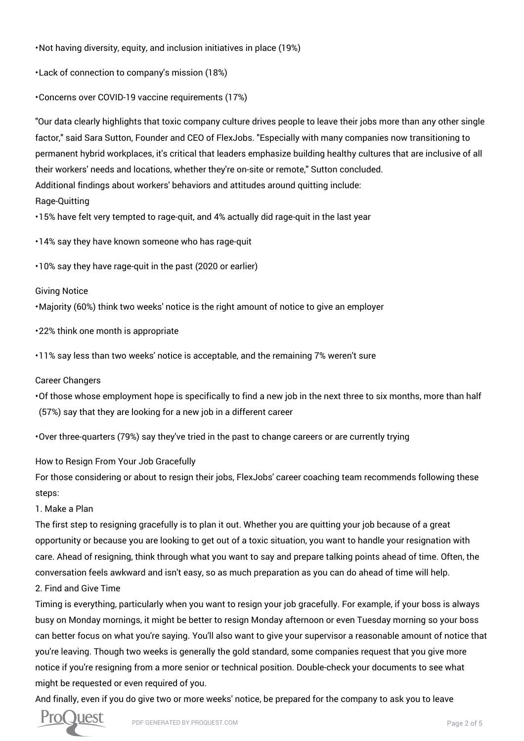• Not having diversity, equity, and inclusion initiatives in place (19%)

• Lack of connection to company's mission (18%)

• Concerns over COVID-19 vaccine requirements (17%)

"Our data clearly highlights that toxic company culture drives people to leave their jobs more than any other single factor," said Sara Sutton, Founder and CEO of FlexJobs. "Especially with many companies now transitioning to permanent hybrid workplaces, it's critical that leaders emphasize building healthy cultures that are inclusive of all their workers' needs and locations, whether they're on-site or remote," Sutton concluded.

Additional findings about workers' behaviors and attitudes around quitting include:

Rage-Quitting

• 15% have felt very tempted to rage-quit, and 4% actually did rage-quit in the last year

• 14% say they have known someone who has rage-quit

• 10% say they have rage-quit in the past (2020 or earlier)

#### Giving Notice

• Majority (60%) think two weeks' notice is the right amount of notice to give an employer

• 22% think one month is appropriate

• 11% say less than two weeks' notice is acceptable, and the remaining 7% weren't sure

Career Changers

• Of those whose employment hope is specifically to find a new job in the next three to six months, more than half (57%) say that they are looking for a new job in a different career

• Over three-quarters (79%) say they've tried in the past to change careers or are currently trying

How to Resign From Your Job Gracefully

For those considering or about to resign their jobs, FlexJobs' career coaching team recommends following these steps:

1. Make a Plan

The first step to resigning gracefully is to plan it out. Whether you are quitting your job because of a great opportunity or because you are looking to get out of a toxic situation, you want to handle your resignation with care. Ahead of resigning, think through what you want to say and prepare talking points ahead of time. Often, the conversation feels awkward and isn't easy, so as much preparation as you can do ahead of time will help.

#### 2. Find and Give Time

Timing is everything, particularly when you want to resign your job gracefully. For example, if your boss is always busy on Monday mornings, it might be better to resign Monday afternoon or even Tuesday morning so your boss can better focus on what you're saying. You'll also want to give your supervisor a reasonable amount of notice that you're leaving. Though two weeks is generally the gold standard, some companies request that you give more notice if you're resigning from a more senior or technical position. Double-check your documents to see what might be requested or even required of you.

And finally, even if you do give two or more weeks' notice, be prepared for the company to ask you to leave

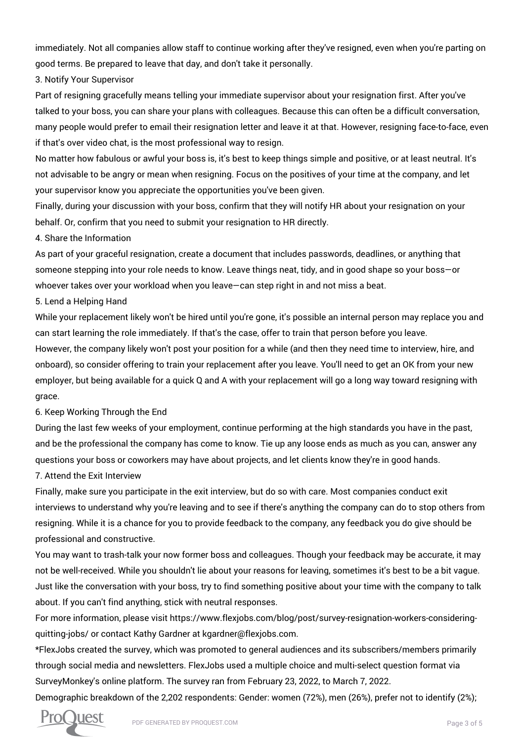immediately. Not all companies allow staff to continue working after they've resigned, even when you're parting on good terms. Be prepared to leave that day, and don't take it personally.

3. Notify Your Supervisor

Part of resigning gracefully means telling your immediate supervisor about your resignation first. After you've talked to your boss, you can share your plans with colleagues. Because this can often be a difficult conversation, many people would prefer to email their resignation letter and leave it at that. However, resigning face-to-face, even if that's over video chat, is the most professional way to resign.

No matter how fabulous or awful your boss is, it's best to keep things simple and positive, or at least neutral. It's not advisable to be angry or mean when resigning. Focus on the positives of your time at the company, and let your supervisor know you appreciate the opportunities you've been given.

Finally, during your discussion with your boss, confirm that they will notify HR about your resignation on your behalf. Or, confirm that you need to submit your resignation to HR directly.

#### 4. Share the Information

As part of your graceful resignation, create a document that includes passwords, deadlines, or anything that someone stepping into your role needs to know. Leave things neat, tidy, and in good shape so your boss—or whoever takes over your workload when you leave—can step right in and not miss a beat.

5. Lend a Helping Hand

While your replacement likely won't be hired until you're gone, it's possible an internal person may replace you and can start learning the role immediately. If that's the case, offer to train that person before you leave.

However, the company likely won't post your position for a while (and then they need time to interview, hire, and onboard), so consider offering to train your replacement after you leave. You'll need to get an OK from your new employer, but being available for a quick Q and A with your replacement will go a long way toward resigning with grace.

6. Keep Working Through the End

During the last few weeks of your employment, continue performing at the high standards you have in the past, and be the professional the company has come to know. Tie up any loose ends as much as you can, answer any questions your boss or coworkers may have about projects, and let clients know they're in good hands.

7. Attend the Exit Interview

Finally, make sure you participate in the exit interview, but do so with care. Most companies conduct exit interviews to understand why you're leaving and to see if there's anything the company can do to stop others from resigning. While it is a chance for you to provide feedback to the company, any feedback you do give should be professional and constructive.

You may want to trash-talk your now former boss and colleagues. Though your feedback may be accurate, it may not be well-received. While you shouldn't lie about your reasons for leaving, sometimes it's best to be a bit vague. Just like the conversation with your boss, try to find something positive about your time with the company to talk about. If you can't find anything, stick with neutral responses.

For more information, please visit https://www.flexjobs.com/blog/post/survey-resignation-workers-consideringquitting-jobs/ or contact Kathy Gardner at kgardner@flexjobs.com.

\*FlexJobs created the survey, which was promoted to general audiences and its subscribers/members primarily through social media and newsletters. FlexJobs used a multiple choice and multi-select question format via SurveyMonkey's online platform. The survey ran from February 23, 2022, to March 7, 2022.

Demographic breakdown of the 2,202 respondents: Gender: women (72%), men (26%), prefer not to identify (2%);

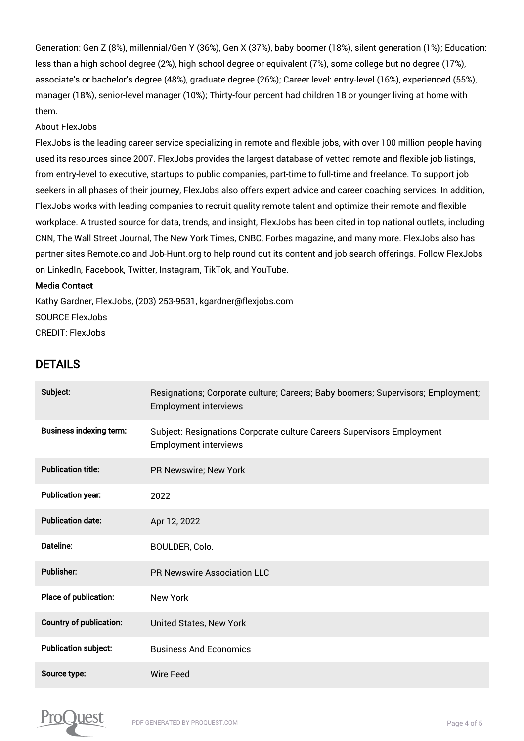Generation: Gen Z (8%), millennial/Gen Y (36%), Gen X (37%), baby boomer (18%), silent generation (1%); Education: less than a high school degree (2%), high school degree or equivalent (7%), some college but no degree (17%), associate's or bachelor's degree (48%), graduate degree (26%); Career level: entry-level (16%), experienced (55%), manager (18%), senior-level manager (10%); Thirty-four percent had children 18 or younger living at home with them.

#### About FlexJobs

FlexJobs is the leading career service specializing in remote and flexible jobs, with over 100 million people having used its resources since 2007. FlexJobs provides the largest database of vetted remote and flexible job listings, from entry-level to executive, startups to public companies, part-time to full-time and freelance. To support job seekers in all phases of their journey, FlexJobs also offers expert advice and career coaching services. In addition, FlexJobs works with leading companies to recruit quality remote talent and optimize their remote and flexible workplace. A trusted source for data, trends, and insight, FlexJobs has been cited in top national outlets, including CNN, The Wall Street Journal, The New York Times, CNBC, Forbes magazine, and many more. FlexJobs also has partner sites Remote.co and Job-Hunt.org to help round out its content and job search offerings. Follow FlexJobs on LinkedIn, Facebook, Twitter, Instagram, TikTok, and YouTube.

#### Media Contact

Kathy Gardner, FlexJobs, (203) 253-9531, kgardner@flexjobs.com SOURCE FlexJobs CREDIT: FlexJobs

### DETAILS

| Subject:                       | Resignations; Corporate culture; Careers; Baby boomers; Supervisors; Employment;<br><b>Employment interviews</b> |
|--------------------------------|------------------------------------------------------------------------------------------------------------------|
| <b>Business indexing term:</b> | Subject: Resignations Corporate culture Careers Supervisors Employment<br><b>Employment interviews</b>           |
| <b>Publication title:</b>      | PR Newswire; New York                                                                                            |
| <b>Publication year:</b>       | 2022                                                                                                             |
| <b>Publication date:</b>       | Apr 12, 2022                                                                                                     |
| <b>Dateline:</b>               | BOULDER, Colo.                                                                                                   |
| <b>Publisher:</b>              | <b>PR Newswire Association LLC</b>                                                                               |
| Place of publication:          | New York                                                                                                         |
| <b>Country of publication:</b> | United States, New York                                                                                          |
| <b>Publication subject:</b>    | <b>Business And Economics</b>                                                                                    |
| Source type:                   | Wire Feed                                                                                                        |